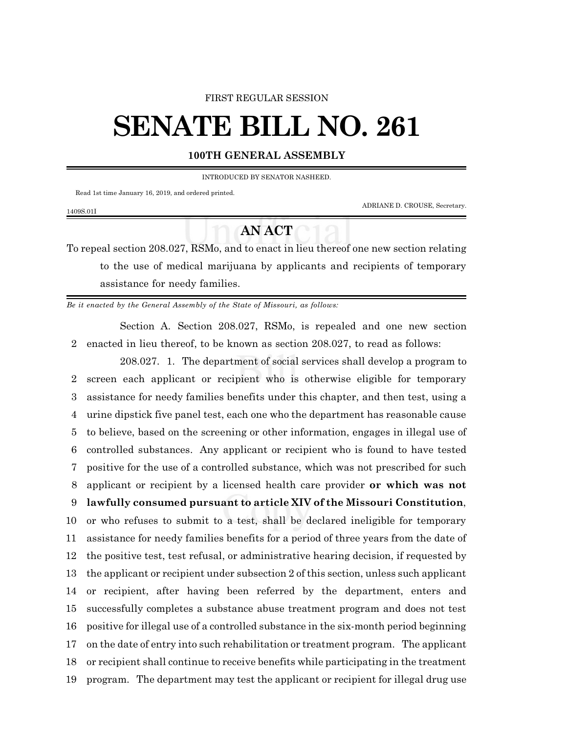### FIRST REGULAR SESSION

# **SENATE BILL NO. 261**

## **100TH GENERAL ASSEMBLY**

INTRODUCED BY SENATOR NASHEED.

Read 1st time January 16, 2019, and ordered printed.

1409S.01I

ADRIANE D. CROUSE, Secretary.

# **AN ACT**

To repeal section 208.027, RSMo, and to enact in lieu thereof one new section relating to the use of medical marijuana by applicants and recipients of temporary assistance for needy families.

*Be it enacted by the General Assembly of the State of Missouri, as follows:*

Section A. Section 208.027, RSMo, is repealed and one new section 2 enacted in lieu thereof, to be known as section 208.027, to read as follows:

208.027. 1. The department of social services shall develop a program to screen each applicant or recipient who is otherwise eligible for temporary assistance for needy families benefits under this chapter, and then test, using a urine dipstick five panel test, each one who the department has reasonable cause to believe, based on the screening or other information, engages in illegal use of controlled substances. Any applicant or recipient who is found to have tested positive for the use of a controlled substance, which was not prescribed for such applicant or recipient by a licensed health care provider **or which was not lawfully consumed pursuant to article XIV of the Missouri Constitution**, or who refuses to submit to a test, shall be declared ineligible for temporary assistance for needy families benefits for a period of three years from the date of the positive test, test refusal, or administrative hearing decision, if requested by the applicant or recipient under subsection 2 of this section, unless such applicant or recipient, after having been referred by the department, enters and successfully completes a substance abuse treatment program and does not test positive for illegal use of a controlled substance in the six-month period beginning on the date of entry into such rehabilitation or treatment program. The applicant or recipient shall continue to receive benefits while participating in the treatment program. The department may test the applicant or recipient for illegal drug use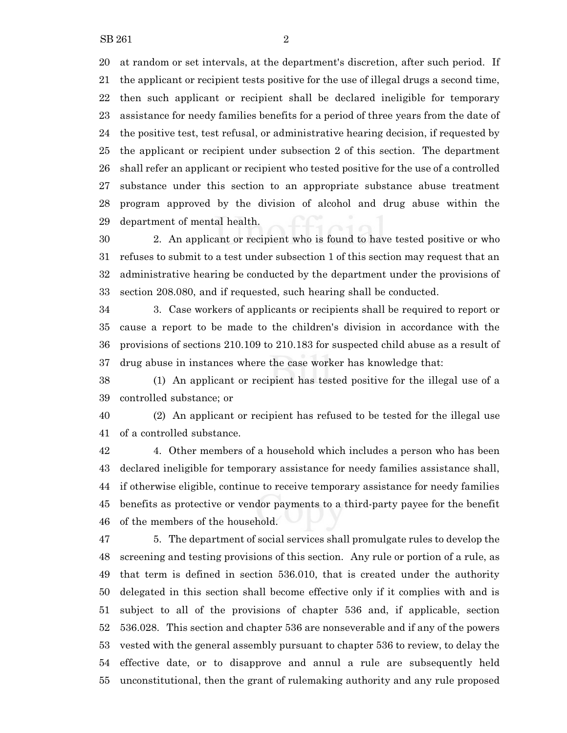at random or set intervals, at the department's discretion, after such period. If the applicant or recipient tests positive for the use of illegal drugs a second time, then such applicant or recipient shall be declared ineligible for temporary assistance for needy families benefits for a period of three years from the date of the positive test, test refusal, or administrative hearing decision, if requested by the applicant or recipient under subsection 2 of this section. The department shall refer an applicant or recipient who tested positive for the use of a controlled substance under this section to an appropriate substance abuse treatment program approved by the division of alcohol and drug abuse within the department of mental health.

 2. An applicant or recipient who is found to have tested positive or who refuses to submit to a test under subsection 1 of this section may request that an administrative hearing be conducted by the department under the provisions of section 208.080, and if requested, such hearing shall be conducted.

 3. Case workers of applicants or recipients shall be required to report or cause a report to be made to the children's division in accordance with the provisions of sections 210.109 to 210.183 for suspected child abuse as a result of drug abuse in instances where the case worker has knowledge that:

 (1) An applicant or recipient has tested positive for the illegal use of a controlled substance; or

 (2) An applicant or recipient has refused to be tested for the illegal use of a controlled substance.

 4. Other members of a household which includes a person who has been declared ineligible for temporary assistance for needy families assistance shall, if otherwise eligible, continue to receive temporary assistance for needy families benefits as protective or vendor payments to a third-party payee for the benefit of the members of the household.

 5. The department of social services shall promulgate rules to develop the screening and testing provisions of this section. Any rule or portion of a rule, as that term is defined in section 536.010, that is created under the authority delegated in this section shall become effective only if it complies with and is subject to all of the provisions of chapter 536 and, if applicable, section 536.028. This section and chapter 536 are nonseverable and if any of the powers vested with the general assembly pursuant to chapter 536 to review, to delay the effective date, or to disapprove and annul a rule are subsequently held unconstitutional, then the grant of rulemaking authority and any rule proposed